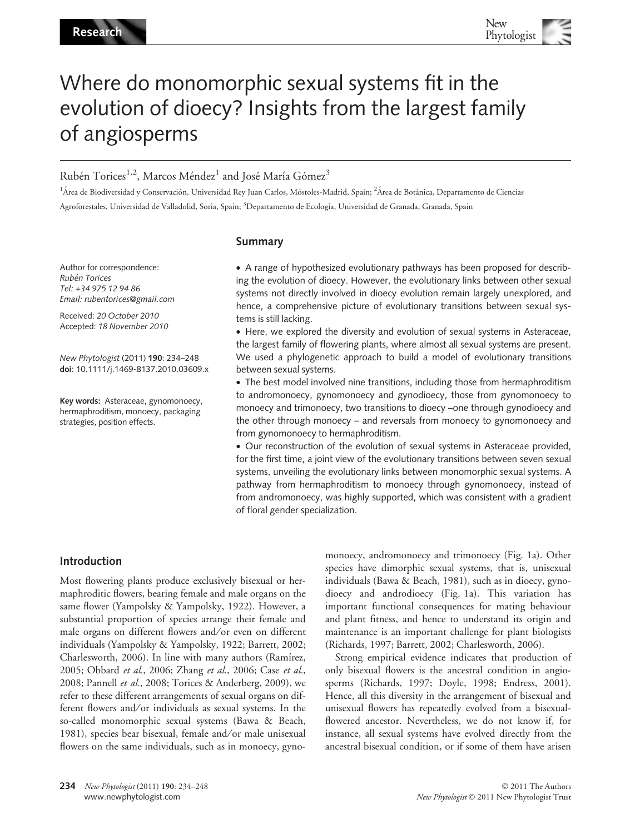# Where do monomorphic sexual systems fit in the evolution of dioecy? Insights from the largest family of angiosperms

# Rubén Torices<sup>1,2</sup>, Marcos Méndez<sup>1</sup> and José María Gómez<sup>3</sup>

<sup>1</sup>Área de Biodiversidad y Conservación, Universidad Rey Juan Carlos, Móstoles-Madrid, Spain; <sup>2</sup>Área de Botánica, Departamento de Ciencias Agroforestales, Universidad de Valladolid, Soria, Spain; <sup>3</sup>Departamento de Ecología, Universidad de Granada, Granada, Spain

#### Summary

Author for correspondence: Rubén Torices Tel: +34 975 12 94 86 Email: rubentorices@gmail.com

Received: 20 October 2010 Accepted: 18 November 2010

New Phytologist (2011) 190: 234–248 doi: 10.1111/j.1469-8137.2010.03609.x

Key words: Asteraceae, gynomonoecy, hermaphroditism, monoecy, packaging strategies, position effects.

• A range of hypothesized evolutionary pathways has been proposed for describing the evolution of dioecy. However, the evolutionary links between other sexual systems not directly involved in dioecy evolution remain largely unexplored, and hence, a comprehensive picture of evolutionary transitions between sexual systems is still lacking.

• Here, we explored the diversity and evolution of sexual systems in Asteraceae, the largest family of flowering plants, where almost all sexual systems are present. We used a phylogenetic approach to build a model of evolutionary transitions between sexual systems.

• The best model involved nine transitions, including those from hermaphroditism to andromonoecy, gynomonoecy and gynodioecy, those from gynomonoecy to monoecy and trimonoecy, two transitions to dioecy –one through gynodioecy and the other through monoecy – and reversals from monoecy to gynomonoecy and from gynomonoecy to hermaphroditism.

• Our reconstruction of the evolution of sexual systems in Asteraceae provided, for the first time, a joint view of the evolutionary transitions between seven sexual systems, unveiling the evolutionary links between monomorphic sexual systems. A pathway from hermaphroditism to monoecy through gynomonoecy, instead of from andromonoecy, was highly supported, which was consistent with a gradient of floral gender specialization.

## Introduction

Most flowering plants produce exclusively bisexual or hermaphroditic flowers, bearing female and male organs on the same flower (Yampolsky & Yampolsky, 1922). However, a substantial proportion of species arrange their female and male organs on different flowers and/or even on different individuals (Yampolsky & Yampolsky, 1922; Barrett, 2002; Charlesworth, 2006). In line with many authors (Ramírez, 2005; Obbard et al., 2006; Zhang et al., 2006; Case et al., 2008; Pannell et al., 2008; Torices & Anderberg, 2009), we refer to these different arrangements of sexual organs on different flowers and/or individuals as sexual systems. In the so-called monomorphic sexual systems (Bawa & Beach, 1981), species bear bisexual, female and/or male unisexual flowers on the same individuals, such as in monoecy, gynomonoecy, andromonoecy and trimonoecy (Fig. 1a). Other species have dimorphic sexual systems, that is, unisexual individuals (Bawa & Beach, 1981), such as in dioecy, gynodioecy and androdioecy (Fig. 1a). This variation has important functional consequences for mating behaviour and plant fitness, and hence to understand its origin and maintenance is an important challenge for plant biologists (Richards, 1997; Barrett, 2002; Charlesworth, 2006).

Strong empirical evidence indicates that production of only bisexual flowers is the ancestral condition in angiosperms (Richards, 1997; Doyle, 1998; Endress, 2001). Hence, all this diversity in the arrangement of bisexual and unisexual flowers has repeatedly evolved from a bisexualflowered ancestor. Nevertheless, we do not know if, for instance, all sexual systems have evolved directly from the ancestral bisexual condition, or if some of them have arisen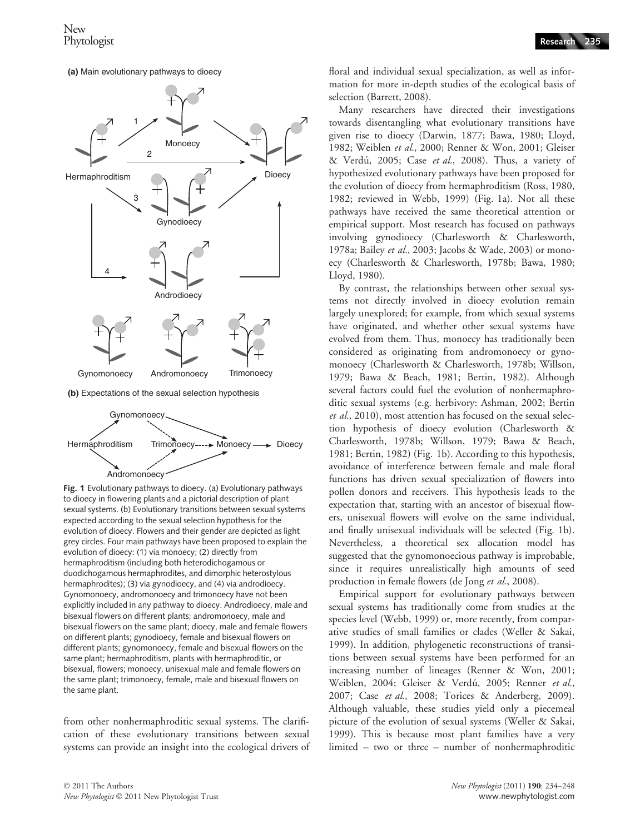



**(b)** Expectations of the sexual selection hypothesis



Fig. 1 Evolutionary pathways to dioecy. (a) Evolutionary pathways to dioecy in flowering plants and a pictorial description of plant sexual systems. (b) Evolutionary transitions between sexual systems expected according to the sexual selection hypothesis for the evolution of dioecy. Flowers and their gender are depicted as light grey circles. Four main pathways have been proposed to explain the evolution of dioecy: (1) via monoecy; (2) directly from hermaphroditism (including both heterodichogamous or duodichogamous hermaphrodites, and dimorphic heterostylous hermaphrodites); (3) via gynodioecy, and (4) via androdioecy. Gynomonoecy, andromonoecy and trimonoecy have not been explicitly included in any pathway to dioecy. Androdioecy, male and bisexual flowers on different plants; andromonoecy, male and bisexual flowers on the same plant; dioecy, male and female flowers on different plants; gynodioecy, female and bisexual flowers on different plants; gynomonoecy, female and bisexual flowers on the same plant; hermaphroditism, plants with hermaphroditic, or bisexual, flowers; monoecy, unisexual male and female flowers on the same plant; trimonoecy, female, male and bisexual flowers on the same plant.

from other nonhermaphroditic sexual systems. The clarification of these evolutionary transitions between sexual systems can provide an insight into the ecological drivers of floral and individual sexual specialization, as well as information for more in-depth studies of the ecological basis of selection (Barrett, 2008).

Many researchers have directed their investigations towards disentangling what evolutionary transitions have given rise to dioecy (Darwin, 1877; Bawa, 1980; Lloyd, 1982; Weiblen et al., 2000; Renner & Won, 2001; Gleiser & Verdú, 2005; Case et al., 2008). Thus, a variety of hypothesized evolutionary pathways have been proposed for the evolution of dioecy from hermaphroditism (Ross, 1980, 1982; reviewed in Webb, 1999) (Fig. 1a). Not all these pathways have received the same theoretical attention or empirical support. Most research has focused on pathways involving gynodioecy (Charlesworth & Charlesworth, 1978a; Bailey et al., 2003; Jacobs & Wade, 2003) or monoecy (Charlesworth & Charlesworth, 1978b; Bawa, 1980; Lloyd, 1980).

By contrast, the relationships between other sexual systems not directly involved in dioecy evolution remain largely unexplored; for example, from which sexual systems have originated, and whether other sexual systems have evolved from them. Thus, monoecy has traditionally been considered as originating from andromonoecy or gynomonoecy (Charlesworth & Charlesworth, 1978b; Willson, 1979; Bawa & Beach, 1981; Bertin, 1982). Although several factors could fuel the evolution of nonhermaphroditic sexual systems (e.g. herbivory: Ashman, 2002; Bertin et al., 2010), most attention has focused on the sexual selection hypothesis of dioecy evolution (Charlesworth & Charlesworth, 1978b; Willson, 1979; Bawa & Beach, 1981; Bertin, 1982) (Fig. 1b). According to this hypothesis, avoidance of interference between female and male floral functions has driven sexual specialization of flowers into pollen donors and receivers. This hypothesis leads to the expectation that, starting with an ancestor of bisexual flowers, unisexual flowers will evolve on the same individual, and finally unisexual individuals will be selected (Fig. 1b). Nevertheless, a theoretical sex allocation model has suggested that the gynomonoecious pathway is improbable, since it requires unrealistically high amounts of seed production in female flowers (de Jong et al., 2008).

Empirical support for evolutionary pathways between sexual systems has traditionally come from studies at the species level (Webb, 1999) or, more recently, from comparative studies of small families or clades (Weller & Sakai, 1999). In addition, phylogenetic reconstructions of transitions between sexual systems have been performed for an increasing number of lineages (Renner & Won, 2001; Weiblen, 2004; Gleiser & Verdú, 2005; Renner et al., 2007; Case et al., 2008; Torices & Anderberg, 2009). Although valuable, these studies yield only a piecemeal picture of the evolution of sexual systems (Weller & Sakai, 1999). This is because most plant families have a very limited – two or three – number of nonhermaphroditic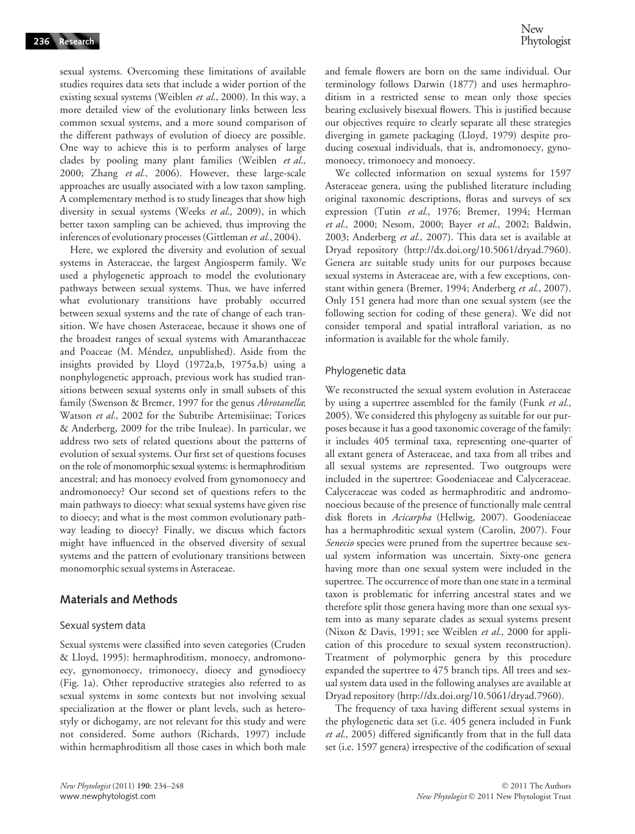sexual systems. Overcoming these limitations of available studies requires data sets that include a wider portion of the existing sexual systems (Weiblen et al., 2000). In this way, a more detailed view of the evolutionary links between less common sexual systems, and a more sound comparison of the different pathways of evolution of dioecy are possible. One way to achieve this is to perform analyses of large clades by pooling many plant families (Weiblen et al., 2000; Zhang et al., 2006). However, these large-scale approaches are usually associated with a low taxon sampling. A complementary method is to study lineages that show high diversity in sexual systems (Weeks et al., 2009), in which better taxon sampling can be achieved, thus improving the inferences of evolutionary processes (Gittleman et al., 2004).

Here, we explored the diversity and evolution of sexual systems in Asteraceae, the largest Angiosperm family. We used a phylogenetic approach to model the evolutionary pathways between sexual systems. Thus, we have inferred what evolutionary transitions have probably occurred between sexual systems and the rate of change of each transition. We have chosen Asteraceae, because it shows one of the broadest ranges of sexual systems with Amaranthaceae and Poaceae (M. Méndez, unpublished). Aside from the insights provided by Lloyd (1972a,b, 1975a,b) using a nonphylogenetic approach, previous work has studied transitions between sexual systems only in small subsets of this family (Swenson & Bremer, 1997 for the genus Abrotanella; Watson et al., 2002 for the Subtribe Artemisiinae; Torices & Anderberg, 2009 for the tribe Inuleae). In particular, we address two sets of related questions about the patterns of evolution of sexual systems. Our first set of questions focuses on the role of monomorphic sexual systems: is hermaphroditism ancestral; and has monoecy evolved from gynomonoecy and andromonoecy? Our second set of questions refers to the main pathways to dioecy: what sexual systems have given rise to dioecy; and what is the most common evolutionary pathway leading to dioecy? Finally, we discuss which factors might have influenced in the observed diversity of sexual systems and the pattern of evolutionary transitions between monomorphic sexual systems in Asteraceae.

#### Materials and Methods

#### Sexual system data

Sexual systems were classified into seven categories (Cruden & Lloyd, 1995): hermaphroditism, monoecy, andromonoecy, gynomonoecy, trimonoecy, dioecy and gynodioecy (Fig. 1a). Other reproductive strategies also referred to as sexual systems in some contexts but not involving sexual specialization at the flower or plant levels, such as heterostyly or dichogamy, are not relevant for this study and were not considered. Some authors (Richards, 1997) include within hermaphroditism all those cases in which both male and female flowers are born on the same individual. Our terminology follows Darwin (1877) and uses hermaphroditism in a restricted sense to mean only those species bearing exclusively bisexual flowers. This is justified because our objectives require to clearly separate all these strategies diverging in gamete packaging (Lloyd, 1979) despite producing cosexual individuals, that is, andromonoecy, gynomonoecy, trimonoecy and monoecy.

We collected information on sexual systems for 1597 Asteraceae genera, using the published literature including original taxonomic descriptions, floras and surveys of sex expression (Tutin et al., 1976; Bremer, 1994; Herman et al., 2000; Nesom, 2000; Bayer et al., 2002; Baldwin, 2003; Anderberg et al., 2007). This data set is available at Dryad repository (http://dx.doi.org/10.5061/dryad.7960). Genera are suitable study units for our purposes because sexual systems in Asteraceae are, with a few exceptions, constant within genera (Bremer, 1994; Anderberg et al., 2007). Only 151 genera had more than one sexual system (see the following section for coding of these genera). We did not consider temporal and spatial intrafloral variation, as no information is available for the whole family.

#### Phylogenetic data

We reconstructed the sexual system evolution in Asteraceae by using a supertree assembled for the family (Funk et al., 2005). We considered this phylogeny as suitable for our purposes because it has a good taxonomic coverage of the family: it includes 405 terminal taxa, representing one-quarter of all extant genera of Asteraceae, and taxa from all tribes and all sexual systems are represented. Two outgroups were included in the supertree: Goodeniaceae and Calyceraceae. Calyceraceae was coded as hermaphroditic and andromonoecious because of the presence of functionally male central disk florets in Acicarpha (Hellwig, 2007). Goodeniaceae has a hermaphroditic sexual system (Carolin, 2007). Four Senecio species were pruned from the supertree because sexual system information was uncertain. Sixty-one genera having more than one sexual system were included in the supertree. The occurrence of more than one state in a terminal taxon is problematic for inferring ancestral states and we therefore split those genera having more than one sexual system into as many separate clades as sexual systems present (Nixon & Davis, 1991; see Weiblen et al., 2000 for application of this procedure to sexual system reconstruction). Treatment of polymorphic genera by this procedure expanded the supertree to 475 branch tips. All trees and sexual system data used in the following analyses are available at Dryad repository (http://dx.doi.org/10.5061/dryad.7960).

The frequency of taxa having different sexual systems in the phylogenetic data set (i.e. 405 genera included in Funk et al., 2005) differed significantly from that in the full data set (i.e. 1597 genera) irrespective of the codification of sexual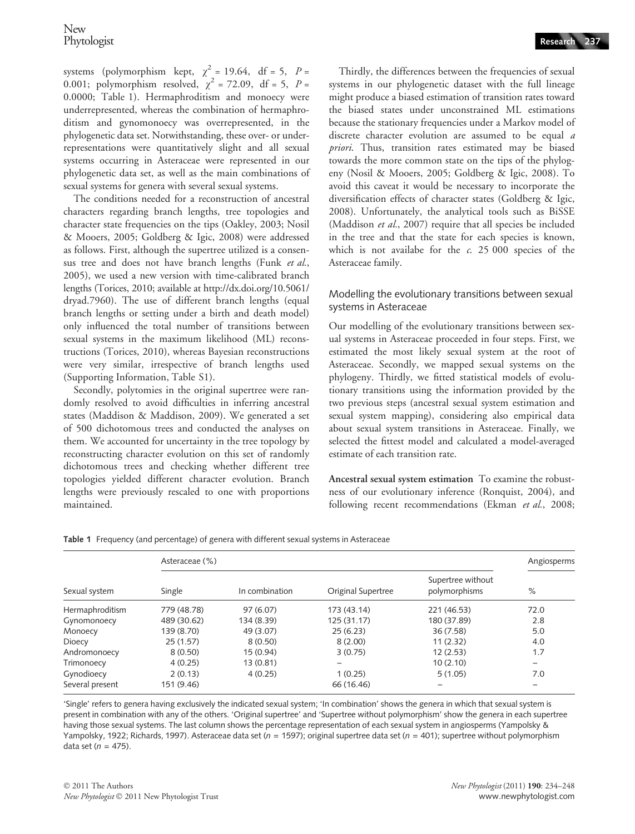systems (polymorphism kept,  $\chi^2 = 19.64$ , df = 5, P = 0.001; polymorphism resolved,  $\chi^2$  = 72.09, df = 5, P = 0.0000; Table 1). Hermaphroditism and monoecy were underrepresented, whereas the combination of hermaphroditism and gynomonoecy was overrepresented, in the phylogenetic data set. Notwithstanding, these over- or underrepresentations were quantitatively slight and all sexual systems occurring in Asteraceae were represented in our phylogenetic data set, as well as the main combinations of sexual systems for genera with several sexual systems.

The conditions needed for a reconstruction of ancestral characters regarding branch lengths, tree topologies and character state frequencies on the tips (Oakley, 2003; Nosil & Mooers, 2005; Goldberg & Igic, 2008) were addressed as follows. First, although the supertree utilized is a consensus tree and does not have branch lengths (Funk et al., 2005), we used a new version with time-calibrated branch lengths (Torices, 2010; available at http://dx.doi.org/10.5061/ dryad.7960). The use of different branch lengths (equal branch lengths or setting under a birth and death model) only influenced the total number of transitions between sexual systems in the maximum likelihood (ML) reconstructions (Torices, 2010), whereas Bayesian reconstructions were very similar, irrespective of branch lengths used (Supporting Information, Table S1).

Secondly, polytomies in the original supertree were randomly resolved to avoid difficulties in inferring ancestral states (Maddison & Maddison, 2009). We generated a set of 500 dichotomous trees and conducted the analyses on them. We accounted for uncertainty in the tree topology by reconstructing character evolution on this set of randomly dichotomous trees and checking whether different tree topologies yielded different character evolution. Branch lengths were previously rescaled to one with proportions maintained.

Thirdly, the differences between the frequencies of sexual systems in our phylogenetic dataset with the full lineage might produce a biased estimation of transition rates toward the biased states under unconstrained ML estimations because the stationary frequencies under a Markov model of discrete character evolution are assumed to be equal a priori. Thus, transition rates estimated may be biased towards the more common state on the tips of the phylogeny (Nosil & Mooers, 2005; Goldberg & Igic, 2008). To avoid this caveat it would be necessary to incorporate the diversification effects of character states (Goldberg & Igic, 2008). Unfortunately, the analytical tools such as BiSSE (Maddison et al., 2007) require that all species be included in the tree and that the state for each species is known, which is not availabe for the  $c$ . 25 000 species of the Asteraceae family.

#### Modelling the evolutionary transitions between sexual systems in Asteraceae

Our modelling of the evolutionary transitions between sexual systems in Asteraceae proceeded in four steps. First, we estimated the most likely sexual system at the root of Asteraceae. Secondly, we mapped sexual systems on the phylogeny. Thirdly, we fitted statistical models of evolutionary transitions using the information provided by the two previous steps (ancestral sexual system estimation and sexual system mapping), considering also empirical data about sexual system transitions in Asteraceae. Finally, we selected the fittest model and calculated a model-averaged estimate of each transition rate.

Ancestral sexual system estimation To examine the robustness of our evolutionary inference (Ronquist, 2004), and following recent recommendations (Ekman et al., 2008;

| Sexual system   | Asteraceae (%) |                |                    |                                    |      |  |
|-----------------|----------------|----------------|--------------------|------------------------------------|------|--|
|                 | Single         | In combination | Original Supertree | Supertree without<br>polymorphisms | %    |  |
| Hermaphroditism | 779 (48.78)    | 97 (6.07)      | 173 (43.14)        | 221 (46.53)                        | 72.0 |  |
| Gynomonoecy     | 489 (30.62)    | 134 (8.39)     | 125 (31.17)        | 180 (37.89)                        | 2.8  |  |
| Monoecy         | 139 (8.70)     | 49 (3.07)      | 25(6.23)           | 36(7.58)                           | 5.0  |  |
| Dioecy          | 25(1.57)       | 8(0.50)        | 8(2.00)            | 11(2.32)                           | 4.0  |  |
| Andromonoecy    | 8(0.50)        | 15 (0.94)      | 3(0.75)            | 12(2.53)                           | 1.7  |  |
| Trimonoecy      | 4(0.25)        | 13 (0.81)      |                    | 10(2.10)                           |      |  |
| Gynodioecy      | 2(0.13)        | 4(0.25)        | 1(0.25)            | 5(1.05)                            | 7.0  |  |
| Several present | 151 (9.46)     |                | 66 (16.46)         |                                    |      |  |

Table 1 Frequency (and percentage) of genera with different sexual systems in Asteraceae

'Single' refers to genera having exclusively the indicated sexual system; 'In combination' shows the genera in which that sexual system is present in combination with any of the others. 'Original supertree' and 'Supertree without polymorphism' show the genera in each supertree having those sexual systems. The last column shows the percentage representation of each sexual system in angiosperms (Yampolsky & Yampolsky, 1922; Richards, 1997). Asteraceae data set ( $n = 1597$ ); original supertree data set ( $n = 401$ ); supertree without polymorphism data set ( $n = 475$ ).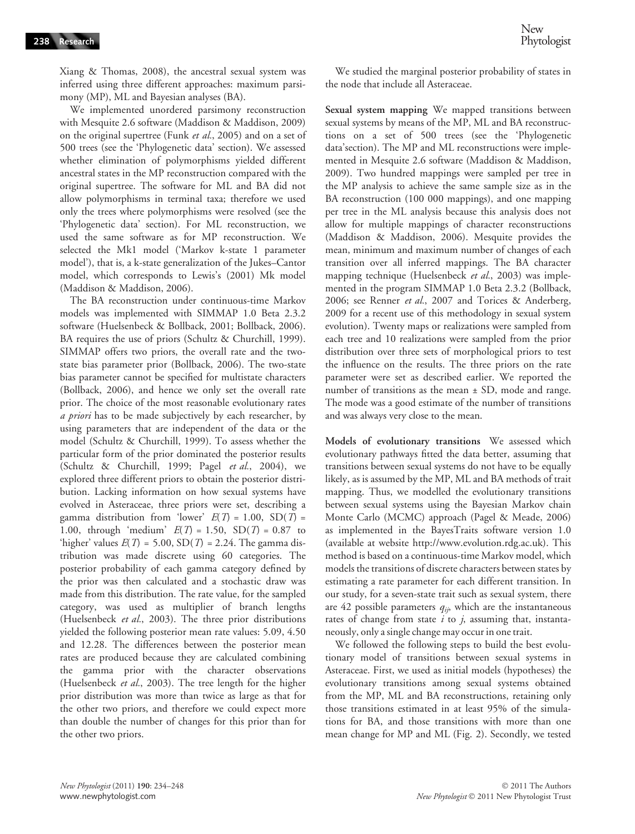Xiang & Thomas, 2008), the ancestral sexual system was inferred using three different approaches: maximum parsimony (MP), ML and Bayesian analyses (BA).

We implemented unordered parsimony reconstruction with Mesquite 2.6 software (Maddison & Maddison, 2009) on the original supertree (Funk et al., 2005) and on a set of 500 trees (see the 'Phylogenetic data' section). We assessed whether elimination of polymorphisms yielded different ancestral states in the MP reconstruction compared with the original supertree. The software for ML and BA did not allow polymorphisms in terminal taxa; therefore we used only the trees where polymorphisms were resolved (see the 'Phylogenetic data' section). For ML reconstruction, we used the same software as for MP reconstruction. We selected the Mk1 model ('Markov k-state 1 parameter model'), that is, a k-state generalization of the Jukes–Cantor model, which corresponds to Lewis's (2001) Mk model (Maddison & Maddison, 2006).

The BA reconstruction under continuous-time Markov models was implemented with SIMMAP 1.0 Beta 2.3.2 software (Huelsenbeck & Bollback, 2001; Bollback, 2006). BA requires the use of priors (Schultz & Churchill, 1999). SIMMAP offers two priors, the overall rate and the twostate bias parameter prior (Bollback, 2006). The two-state bias parameter cannot be specified for multistate characters (Bollback, 2006), and hence we only set the overall rate prior. The choice of the most reasonable evolutionary rates a priori has to be made subjectively by each researcher, by using parameters that are independent of the data or the model (Schultz & Churchill, 1999). To assess whether the particular form of the prior dominated the posterior results (Schultz & Churchill, 1999; Pagel et al., 2004), we explored three different priors to obtain the posterior distribution. Lacking information on how sexual systems have evolved in Asteraceae, three priors were set, describing a gamma distribution from 'lower'  $E(T) = 1.00$ ,  $SD(T) =$ 1.00, through 'medium'  $E(T) = 1.50$ ,  $SD(T) = 0.87$  to 'higher' values  $E(T) = 5.00$ ,  $SD(T) = 2.24$ . The gamma distribution was made discrete using 60 categories. The posterior probability of each gamma category defined by the prior was then calculated and a stochastic draw was made from this distribution. The rate value, for the sampled category, was used as multiplier of branch lengths (Huelsenbeck et al., 2003). The three prior distributions yielded the following posterior mean rate values: 5.09, 4.50 and 12.28. The differences between the posterior mean rates are produced because they are calculated combining the gamma prior with the character observations (Huelsenbeck et al., 2003). The tree length for the higher prior distribution was more than twice as large as that for the other two priors, and therefore we could expect more than double the number of changes for this prior than for the other two priors.

We studied the marginal posterior probability of states in the node that include all Asteraceae.

Sexual system mapping We mapped transitions between sexual systems by means of the MP, ML and BA reconstructions on a set of 500 trees (see the 'Phylogenetic data'section). The MP and ML reconstructions were implemented in Mesquite 2.6 software (Maddison & Maddison, 2009). Two hundred mappings were sampled per tree in the MP analysis to achieve the same sample size as in the BA reconstruction (100 000 mappings), and one mapping per tree in the ML analysis because this analysis does not allow for multiple mappings of character reconstructions (Maddison & Maddison, 2006). Mesquite provides the mean, minimum and maximum number of changes of each transition over all inferred mappings. The BA character mapping technique (Huelsenbeck et al., 2003) was implemented in the program SIMMAP 1.0 Beta 2.3.2 (Bollback, 2006; see Renner et al., 2007 and Torices & Anderberg, 2009 for a recent use of this methodology in sexual system evolution). Twenty maps or realizations were sampled from each tree and 10 realizations were sampled from the prior distribution over three sets of morphological priors to test the influence on the results. The three priors on the rate parameter were set as described earlier. We reported the number of transitions as the mean ± SD, mode and range. The mode was a good estimate of the number of transitions and was always very close to the mean.

Models of evolutionary transitions We assessed which evolutionary pathways fitted the data better, assuming that transitions between sexual systems do not have to be equally likely, as is assumed by the MP, ML and BA methods of trait mapping. Thus, we modelled the evolutionary transitions between sexual systems using the Bayesian Markov chain Monte Carlo (MCMC) approach (Pagel & Meade, 2006) as implemented in the BayesTraits software version 1.0 (available at website http://www.evolution.rdg.ac.uk). This method is based on a continuous-time Markov model, which models the transitions of discrete characters between states by estimating a rate parameter for each different transition. In our study, for a seven-state trait such as sexual system, there are 42 possible parameters  $q_{ij}$ , which are the instantaneous rates of change from state  $i$  to  $j$ , assuming that, instantaneously, only a single change may occur in one trait.

We followed the following steps to build the best evolutionary model of transitions between sexual systems in Asteraceae. First, we used as initial models (hypotheses) the evolutionary transitions among sexual systems obtained from the MP, ML and BA reconstructions, retaining only those transitions estimated in at least 95% of the simulations for BA, and those transitions with more than one mean change for MP and ML (Fig. 2). Secondly, we tested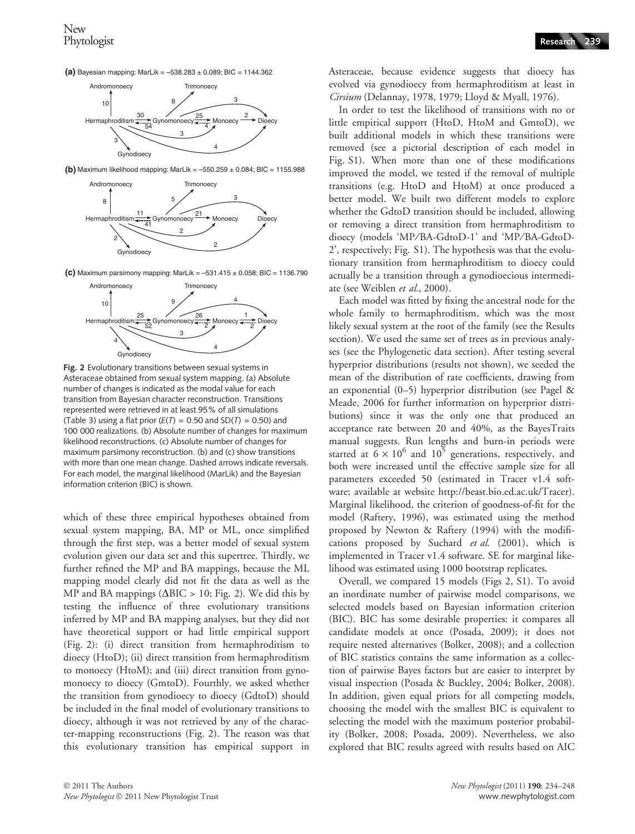**(a)** Bayesian mapping: MarLik = –538.283 ± 0.089; BIC = 1144.362



**(b)** Maximum likelihood mapping: MarLik = –550.259 ± 0.084; BIC = 1155.988



**(c)** Maximum parsimony mapping: MarLik = –531.415 ± 0.058; BIC = 1136.790



Fig. 2 Evolutionary transitions between sexual systems in Asteraceae obtained from sexual system mapping. (a) Absolute number of changes is indicated as the modal value for each transition from Bayesian character reconstruction. Transitions represented were retrieved in at least 95% of all simulations (Table 3) using a flat prior ( $E(T) = 0.50$  and  $SD(T) = 0.50$ ) and 100 000 realizations. (b) Absolute number of changes for maximum likelihood reconstructions. (c) Absolute number of changes for maximum parsimony reconstruction. (b) and (c) show transitions with more than one mean change. Dashed arrows indicate reversals. For each model, the marginal likelihood (MarLik) and the Bayesian information criterion (BIC) is shown.

which of these three empirical hypotheses obtained from sexual system mapping, BA, MP or ML, once simplified through the first step, was a better model of sexual system evolution given our data set and this supertree. Thirdly, we further refined the MP and BA mappings, because the ML mapping model clearly did not fit the data as well as the MP and BA mappings ( $\triangle BIC > 10$ ; Fig. 2). We did this by testing the influence of three evolutionary transitions inferred by MP and BA mapping analyses, but they did not have theoretical support or had little empirical support (Fig. 2): (i) direct transition from hermaphroditism to dioecy (HtoD); (ii) direct transition from hermaphroditism to monoecy (HtoM); and (iii) direct transition from gynomonoecy to dioecy (GmtoD). Fourthly, we asked whether the transition from gynodioecy to dioecy (GdtoD) should be included in the final model of evolutionary transitions to dioecy, although it was not retrieved by any of the character-mapping reconstructions (Fig. 2). The reason was that this evolutionary transition has empirical support in Asteraceae, because evidence suggests that dioecy has evolved via gynodioecy from hermaphroditism at least in Cirsium (Delannay, 1978, 1979; Lloyd & Myall, 1976).

In order to test the likelihood of transitions with no or little empirical support (HtoD, HtoM and GmtoD), we built additional models in which these transitions were removed (see a pictorial description of each model in Fig. S1). When more than one of these modifications improved the model, we tested if the removal of multiple transitions (e.g. HtoD and HtoM) at once produced a better model. We built two different models to explore whether the GdtoD transition should be included, allowing or removing a direct transition from hermaphroditism to dioecy (models 'MP/BA-GdtoD-1' and 'MP/BA-GdtoD-2', respectively; Fig. S1). The hypothesis was that the evolutionary transition from hermaphroditism to dioecy could actually be a transition through a gynodioecious intermediate (see Weiblen et al., 2000).

Each model was fitted by fixing the ancestral node for the whole family to hermaphroditism, which was the most likely sexual system at the root of the family (see the Results section). We used the same set of trees as in previous analyses (see the Phylogenetic data section). After testing several hyperprior distributions (results not shown), we seeded the mean of the distribution of rate coefficients, drawing from an exponential (0–5) hyperprior distribution (see Pagel & Meade, 2006 for further information on hyperprior distributions) since it was the only one that produced an acceptance rate between 20 and 40%, as the BayesTraits manual suggests. Run lengths and burn-in periods were started at  $6 \times 10^6$  and  $10^5$  generations, respectively, and both were increased until the effective sample size for all parameters exceeded 50 (estimated in Tracer v1.4 software; available at website http://beast.bio.ed.ac.uk/Tracer). Marginal likelihood, the criterion of goodness-of-fit for the model (Raftery, 1996), was estimated using the method proposed by Newton & Raftery (1994) with the modifications proposed by Suchard et al. (2001), which is implemented in Tracer v1.4 software. SE for marginal likelihood was estimated using 1000 bootstrap replicates.

Overall, we compared 15 models (Figs 2, S1). To avoid an inordinate number of pairwise model comparisons, we selected models based on Bayesian information criterion (BIC). BIC has some desirable properties: it compares all candidate models at once (Posada, 2009); it does not require nested alternatives (Bolker, 2008); and a collection of BIC statistics contains the same information as a collection of pairwise Bayes factors but are easier to interpret by visual inspection (Posada & Buckley, 2004; Bolker, 2008). In addition, given equal priors for all competing models, choosing the model with the smallest BIC is equivalent to selecting the model with the maximum posterior probability (Bolker, 2008; Posada, 2009). Nevertheless, we also explored that BIC results agreed with results based on AIC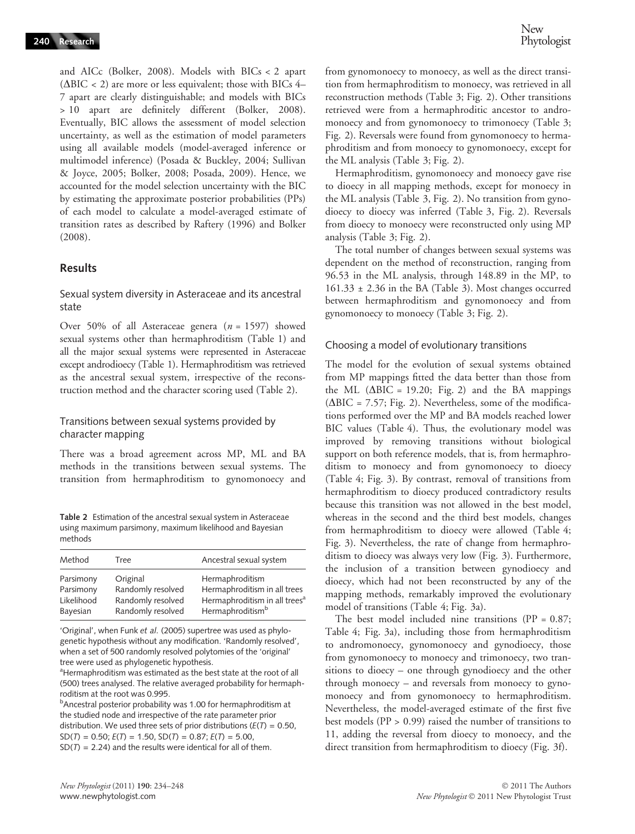New **Phytologist** 

and AICc (Bolker, 2008). Models with BICs < 2 apart ( $\triangle BIC < 2$ ) are more or less equivalent; those with BICs 4– 7 apart are clearly distinguishable; and models with BICs > 10 apart are definitely different (Bolker, 2008). Eventually, BIC allows the assessment of model selection uncertainty, as well as the estimation of model parameters using all available models (model-averaged inference or multimodel inference) (Posada & Buckley, 2004; Sullivan & Joyce, 2005; Bolker, 2008; Posada, 2009). Hence, we accounted for the model selection uncertainty with the BIC by estimating the approximate posterior probabilities (PPs) of each model to calculate a model-averaged estimate of transition rates as described by Raftery (1996) and Bolker (2008).

#### Results

#### Sexual system diversity in Asteraceae and its ancestral state

Over 50% of all Asteraceae genera ( $n = 1597$ ) showed sexual systems other than hermaphroditism (Table 1) and all the major sexual systems were represented in Asteraceae except androdioecy (Table 1). Hermaphroditism was retrieved as the ancestral sexual system, irrespective of the reconstruction method and the character scoring used (Table 2).

#### Transitions between sexual systems provided by character mapping

There was a broad agreement across MP, ML and BA methods in the transitions between sexual systems. The transition from hermaphroditism to gynomonoecy and

Table 2 Estimation of the ancestral sexual system in Asteraceae using maximum parsimony, maximum likelihood and Bayesian methods

| Method     | Tree              | Ancestral sexual system                   |
|------------|-------------------|-------------------------------------------|
| Parsimony  | Original          | Hermaphroditism                           |
| Parsimony  | Randomly resolved | Hermaphroditism in all trees              |
| Likelihood | Randomly resolved | Hermaphroditism in all trees <sup>a</sup> |
| Bayesian   | Randomly resolved | Hermaphroditism <sup>b</sup>              |

'Original', when Funk et al. (2005) supertree was used as phylogenetic hypothesis without any modification. 'Randomly resolved', when a set of 500 randomly resolved polytomies of the 'original' tree were used as phylogenetic hypothesis.

<sup>a</sup>Hermaphroditism was estimated as the best state at the root of all (500) trees analysed. The relative averaged probability for hermaphroditism at the root was 0.995.

**b**Ancestral posterior probability was 1.00 for hermaphroditism at the studied node and irrespective of the rate parameter prior distribution. We used three sets of prior distributions ( $E(T) = 0.50$ ,  $SD(T) = 0.50$ ;  $E(T) = 1.50$ ,  $SD(T) = 0.87$ ;  $E(T) = 5.00$ ,  $SD(T) = 2.24$ ) and the results were identical for all of them.

from gynomonoecy to monoecy, as well as the direct transition from hermaphroditism to monoecy, was retrieved in all reconstruction methods (Table 3; Fig. 2). Other transitions retrieved were from a hermaphroditic ancestor to andromonoecy and from gynomonoecy to trimonoecy (Table 3; Fig. 2). Reversals were found from gynomonoecy to hermaphroditism and from monoecy to gynomonoecy, except for the ML analysis (Table 3; Fig. 2).

Hermaphroditism, gynomonoecy and monoecy gave rise to dioecy in all mapping methods, except for monoecy in the ML analysis (Table 3, Fig. 2). No transition from gynodioecy to dioecy was inferred (Table 3, Fig. 2). Reversals from dioecy to monoecy were reconstructed only using MP analysis (Table 3; Fig. 2).

The total number of changes between sexual systems was dependent on the method of reconstruction, ranging from 96.53 in the ML analysis, through 148.89 in the MP, to 161.33 ± 2.36 in the BA (Table 3). Most changes occurred between hermaphroditism and gynomonoecy and from gynomonoecy to monoecy (Table 3; Fig. 2).

#### Choosing a model of evolutionary transitions

The model for the evolution of sexual systems obtained from MP mappings fitted the data better than those from the ML ( $\triangle BIC = 19.20$ ; Fig. 2) and the BA mappings  $(\Delta BIC = 7.57; Fig. 2)$ . Nevertheless, some of the modifications performed over the MP and BA models reached lower BIC values (Table 4). Thus, the evolutionary model was improved by removing transitions without biological support on both reference models, that is, from hermaphroditism to monoecy and from gynomonoecy to dioecy (Table 4; Fig. 3). By contrast, removal of transitions from hermaphroditism to dioecy produced contradictory results because this transition was not allowed in the best model, whereas in the second and the third best models, changes from hermaphroditism to dioecy were allowed (Table 4; Fig. 3). Nevertheless, the rate of change from hermaphroditism to dioecy was always very low (Fig. 3). Furthermore, the inclusion of a transition between gynodioecy and dioecy, which had not been reconstructed by any of the mapping methods, remarkably improved the evolutionary model of transitions (Table 4; Fig. 3a).

The best model included nine transitions ( $PP = 0.87$ ; Table 4; Fig. 3a), including those from hermaphroditism to andromonoecy, gynomonoecy and gynodioecy, those from gynomonoecy to monoecy and trimonoecy, two transitions to dioecy – one through gynodioecy and the other through monoecy – and reversals from monoecy to gynomonoecy and from gynomonoecy to hermaphroditism. Nevertheless, the model-averaged estimate of the first five best models (PP > 0.99) raised the number of transitions to 11, adding the reversal from dioecy to monoecy, and the direct transition from hermaphroditism to dioecy (Fig. 3f).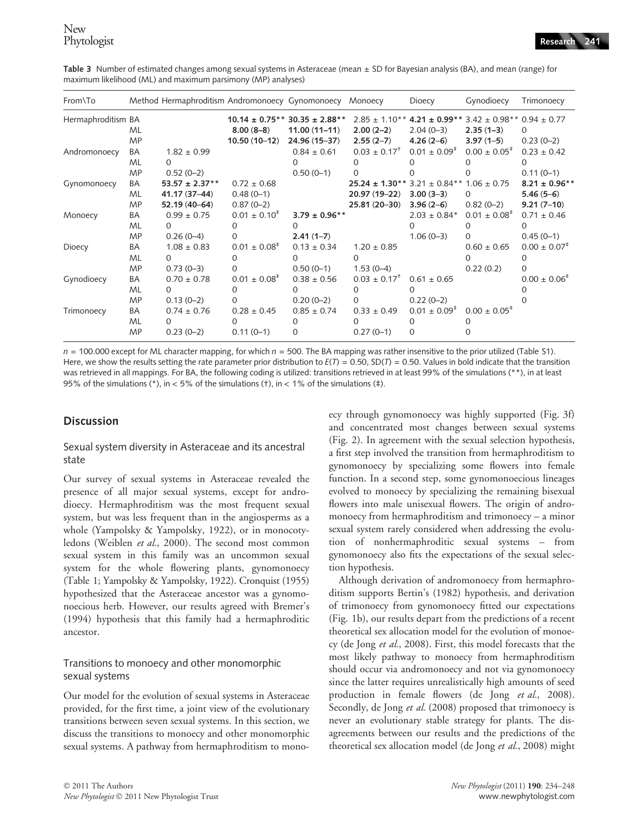Table 3 Number of estimated changes among sexual systems in Asteraceae (mean ± SD for Bayesian analysis (BA), and mean (range) for maximum likelihood (ML) and maximum parsimony (MP) analyses)

| From\To            |                              | Method Hermaphroditism Andromonoecy Gynomonoecy Monoecy |                                                    |                                                                          |                                                                                        | Dioecy                                 | Gynodioecy                                                                 | Trimonoecy                                                          |
|--------------------|------------------------------|---------------------------------------------------------|----------------------------------------------------|--------------------------------------------------------------------------|----------------------------------------------------------------------------------------|----------------------------------------|----------------------------------------------------------------------------|---------------------------------------------------------------------|
| Hermaphroditism BA | ML<br><b>MP</b>              |                                                         | $8.00(8-8)$<br>$10.50(10-12)$                      | $10.14 \pm 0.75**30.35 \pm 2.88**$<br>$11.00(11-11)$<br>$24.96(15 - 37)$ | $2.85 \pm 1.10**$<br>$2.00(2-2)$<br>$2.55(2-7)$                                        | $2.04(0-3)$<br>$4.26(2-6)$             | $4.21 \pm 0.99$ ** 3.42 ± 0.98** 0.94 ± 0.77<br>$2.35(1-3)$<br>$3.97(1-5)$ | $\Omega$<br>$0.23(0-2)$                                             |
| Andromonoecy       | BA<br>ML<br><b>MP</b>        | $1.82 \pm 0.99$<br>0<br>$0.52(0-2)$                     |                                                    | $0.84 \pm 0.61$<br>$0.50(0-1)$                                           | $0.03 \pm 0.17^{\dagger}$<br><sup>0</sup>                                              | $0.01 \pm 0.09^{\ddagger}$             | $0.00 \pm 0.05^*$                                                          | $0.23 \pm 0.42$<br>$0.11(0-1)$                                      |
| Gynomonoecy        | BA<br><b>ML</b><br><b>MP</b> | $53.57 \pm 2.37**$<br>41.17 (37-44)<br>52.19 (40-64)    | $0.72 \pm 0.68$<br>$0.48(0-1)$<br>$0.87(0-2)$      |                                                                          | $25.24 \pm 1.30**$ 3.21 $\pm$ 0.84** 1.06 $\pm$ 0.75<br>20.97 (19-22)<br>25.81 (20-30) | $3.00(3-3)$<br>$3.96(2-6)$             | $\Omega$<br>$0.82(0-2)$                                                    | $8.21 \pm 0.96$ **<br>$5.46(5-6)$<br>$9.21(7-10)$                   |
| Monoecy            | BA<br>ML<br><b>MP</b>        | $0.99 \pm 0.75$<br>$\Omega$<br>$0.26(0-4)$              | $0.01 \pm 0.10^{\ddagger}$<br>0<br>$\Omega$        | $3.79 \pm 0.96$ **<br>O<br>$2.41(1 - 7)$                                 |                                                                                        | $2.03 \pm 0.84*$<br>$1.06(0-3)$        | $0.01 \pm 0.08^+$<br>0<br>$\Omega$                                         | $0.71 \pm 0.46$<br>O<br>$0.45(0-1)$                                 |
| Dioecy             | BA<br><b>ML</b><br><b>MP</b> | $1.08 \pm 0.83$<br>$\Omega$<br>$0.73(0-3)$              | $0.01 \pm 0.08^{\ddagger}$<br>$\Omega$<br>$\Omega$ | $0.13 \pm 0.34$<br>$\Omega$<br>$0.50(0-1)$                               | $1.20 \pm 0.85$<br>0<br>$1.53(0-4)$                                                    |                                        | $0.60 \pm 0.65$<br>$\Omega$<br>0.22(0.2)                                   | $0.00 \pm 0.07$ <sup><math>\pm</math></sup><br>$\Omega$<br>$\Omega$ |
| Gynodioecy         | BA<br><b>ML</b><br><b>MP</b> | $0.70 \pm 0.78$<br>0<br>$0.13(0-2)$                     | $0.01 \pm 0.08^{\ddagger}$<br>0<br>0               | $0.38 \pm 0.56$<br>0<br>$0.20(0-2)$                                      | $0.03 \pm 0.17$ <sup>†</sup><br>0<br>$\Omega$                                          | $0.61 \pm 0.65$<br>$0.22(0-2)$         |                                                                            | $0.00 \pm 0.06^{\text{*}}$                                          |
| Trimonoecy         | BA<br>ML<br><b>MP</b>        | $0.74 \pm 0.76$<br><sup>o</sup><br>$0.23(0-2)$          | $0.28 \pm 0.45$<br>0<br>$0.11(0-1)$                | $0.85 \pm 0.74$<br>$\Omega$                                              | $0.33 \pm 0.49$<br>$0.27(0-1)$                                                         | $0.01 \pm 0.09^{\ddagger}$<br>$\Omega$ | $0.00 \pm 0.05^*$                                                          |                                                                     |

 $n = 100.000$  except for ML character mapping, for which  $n = 500$ . The BA mapping was rather insensitive to the prior utilized (Table S1). Here, we show the results setting the rate parameter prior distribution to  $E(T) = 0.50$ , SD(T) = 0.50. Values in bold indicate that the transition was retrieved in all mappings. For BA, the following coding is utilized: transitions retrieved in at least 99% of the simulations (\*\*), in at least 95% of the simulations (\*), in < 5% of the simulations (+), in < 1% of the simulations ( $\pm$ ).

#### **Discussion**

#### Sexual system diversity in Asteraceae and its ancestral state

Our survey of sexual systems in Asteraceae revealed the presence of all major sexual systems, except for androdioecy. Hermaphroditism was the most frequent sexual system, but was less frequent than in the angiosperms as a whole (Yampolsky & Yampolsky, 1922), or in monocotyledons (Weiblen et al., 2000). The second most common sexual system in this family was an uncommon sexual system for the whole flowering plants, gynomonoecy (Table 1; Yampolsky & Yampolsky, 1922). Cronquist (1955) hypothesized that the Asteraceae ancestor was a gynomonoecious herb. However, our results agreed with Bremer's (1994) hypothesis that this family had a hermaphroditic ancestor.

#### Transitions to monoecy and other monomorphic sexual systems

Our model for the evolution of sexual systems in Asteraceae provided, for the first time, a joint view of the evolutionary transitions between seven sexual systems. In this section, we discuss the transitions to monoecy and other monomorphic sexual systems. A pathway from hermaphroditism to monoecy through gynomonoecy was highly supported (Fig. 3f) and concentrated most changes between sexual systems (Fig. 2). In agreement with the sexual selection hypothesis, a first step involved the transition from hermaphroditism to gynomonoecy by specializing some flowers into female function. In a second step, some gynomonoecious lineages evolved to monoecy by specializing the remaining bisexual flowers into male unisexual flowers. The origin of andromonoecy from hermaphroditism and trimonoecy – a minor sexual system rarely considered when addressing the evolution of nonhermaphroditic sexual systems – from gynomonoecy also fits the expectations of the sexual selection hypothesis.

Although derivation of andromonoecy from hermaphroditism supports Bertin's (1982) hypothesis, and derivation of trimonoecy from gynomonoecy fitted our expectations (Fig. 1b), our results depart from the predictions of a recent theoretical sex allocation model for the evolution of monoecy (de Jong et al., 2008). First, this model forecasts that the most likely pathway to monoecy from hermaphroditism should occur via andromonoecy and not via gynomonoecy since the latter requires unrealistically high amounts of seed production in female flowers (de Jong et al., 2008). Secondly, de Jong et al. (2008) proposed that trimonoecy is never an evolutionary stable strategy for plants. The disagreements between our results and the predictions of the theoretical sex allocation model (de Jong et al., 2008) might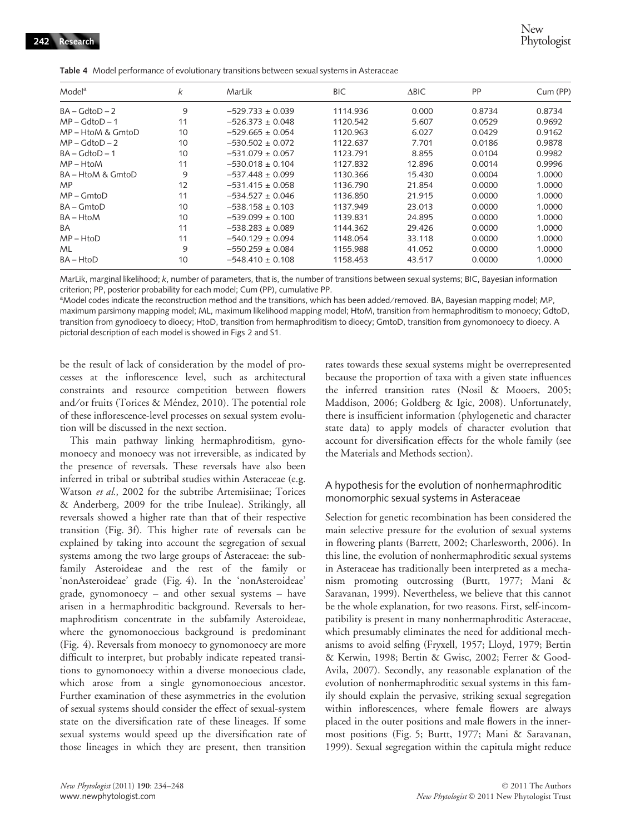|  |  |  |  | Table 4 Model performance of evolutionary transitions between sexual systems in Asteraceae |  |
|--|--|--|--|--------------------------------------------------------------------------------------------|--|
|--|--|--|--|--------------------------------------------------------------------------------------------|--|

| Model <sup>a</sup> | k  | MarLik               | BIC.     | $\triangle BIC$ | PP     | Cum (PP) |
|--------------------|----|----------------------|----------|-----------------|--------|----------|
| $BA - GdtoD - 2$   | 9  | $-529.733 + 0.039$   | 1114.936 | 0.000           | 0.8734 | 0.8734   |
| $MP - GdtoD - 1$   | 11 | $-526.373 \pm 0.048$ | 1120.542 | 5.607           | 0.0529 | 0.9692   |
| MP – HtoM & GmtoD  | 10 | $-529.665 \pm 0.054$ | 1120.963 | 6.027           | 0.0429 | 0.9162   |
| $MP - GdtoD - 2$   | 10 | $-530.502 \pm 0.072$ | 1122.637 | 7.701           | 0.0186 | 0.9878   |
| $BA - GdtoD - 1$   | 10 | $-531.079 \pm 0.057$ | 1123.791 | 8.855           | 0.0104 | 0.9982   |
| $MP - HtoM$        | 11 | $-530.018 \pm 0.104$ | 1127.832 | 12.896          | 0.0014 | 0.9996   |
| BA - HtoM & GmtoD  | 9  | $-537.448 \pm 0.099$ | 1130.366 | 15.430          | 0.0004 | 1.0000   |
| MP                 | 12 | $-531.415 \pm 0.058$ | 1136.790 | 21.854          | 0.0000 | 1.0000   |
| $MP$ – $GmtoD$     | 11 | $-534.527 \pm 0.046$ | 1136.850 | 21.915          | 0.0000 | 1.0000   |
| BA – GmtoD         | 10 | $-538.158 \pm 0.103$ | 1137.949 | 23.013          | 0.0000 | 1.0000   |
| BA – HtoM          | 10 | $-539.099 \pm 0.100$ | 1139.831 | 24.895          | 0.0000 | 1.0000   |
| BA                 | 11 | $-538.283 + 0.089$   | 1144.362 | 29.426          | 0.0000 | 1.0000   |
| $MP - HtoD$        | 11 | $-540.129 \pm 0.094$ | 1148.054 | 33.118          | 0.0000 | 1.0000   |
| ML                 | 9  | $-550.259 + 0.084$   | 1155.988 | 41.052          | 0.0000 | 1.0000   |
| BA – HtoD          | 10 | $-548.410 \pm 0.108$ | 1158.453 | 43.517          | 0.0000 | 1.0000   |

MarLik, marginal likelihood; k, number of parameters, that is, the number of transitions between sexual systems; BIC, Bayesian information criterion; PP, posterior probability for each model; Cum (PP), cumulative PP.

aModel codes indicate the reconstruction method and the transitions, which has been added/removed. BA, Bayesian mapping model; MP, maximum parsimony mapping model; ML, maximum likelihood mapping model; HtoM, transition from hermaphroditism to monoecy; GdtoD, transition from gynodioecy to dioecy; HtoD, transition from hermaphroditism to dioecy; GmtoD, transition from gynomonoecy to dioecy. A pictorial description of each model is showed in Figs 2 and S1.

be the result of lack of consideration by the model of processes at the inflorescence level, such as architectural constraints and resource competition between flowers and/or fruits (Torices & Méndez, 2010). The potential role of these inflorescence-level processes on sexual system evolution will be discussed in the next section.

This main pathway linking hermaphroditism, gynomonoecy and monoecy was not irreversible, as indicated by the presence of reversals. These reversals have also been inferred in tribal or subtribal studies within Asteraceae (e.g. Watson et al., 2002 for the subtribe Artemisiinae; Torices & Anderberg, 2009 for the tribe Inuleae). Strikingly, all reversals showed a higher rate than that of their respective transition (Fig. 3f). This higher rate of reversals can be explained by taking into account the segregation of sexual systems among the two large groups of Asteraceae: the subfamily Asteroideae and the rest of the family or 'nonAsteroideae' grade (Fig. 4). In the 'nonAsteroideae' grade, gynomonoecy – and other sexual systems – have arisen in a hermaphroditic background. Reversals to hermaphroditism concentrate in the subfamily Asteroideae, where the gynomonoecious background is predominant (Fig. 4). Reversals from monoecy to gynomonoecy are more difficult to interpret, but probably indicate repeated transitions to gynomonoecy within a diverse monoecious clade, which arose from a single gynomonoecious ancestor. Further examination of these asymmetries in the evolution of sexual systems should consider the effect of sexual-system state on the diversification rate of these lineages. If some sexual systems would speed up the diversification rate of those lineages in which they are present, then transition rates towards these sexual systems might be overrepresented because the proportion of taxa with a given state influences the inferred transition rates (Nosil & Mooers, 2005; Maddison, 2006; Goldberg & Igic, 2008). Unfortunately, there is insufficient information (phylogenetic and character state data) to apply models of character evolution that account for diversification effects for the whole family (see the Materials and Methods section).

#### A hypothesis for the evolution of nonhermaphroditic monomorphic sexual systems in Asteraceae

Selection for genetic recombination has been considered the main selective pressure for the evolution of sexual systems in flowering plants (Barrett, 2002; Charlesworth, 2006). In this line, the evolution of nonhermaphroditic sexual systems in Asteraceae has traditionally been interpreted as a mechanism promoting outcrossing (Burtt, 1977; Mani & Saravanan, 1999). Nevertheless, we believe that this cannot be the whole explanation, for two reasons. First, self-incompatibility is present in many nonhermaphroditic Asteraceae, which presumably eliminates the need for additional mechanisms to avoid selfing (Fryxell, 1957; Lloyd, 1979; Bertin & Kerwin, 1998; Bertin & Gwisc, 2002; Ferrer & Good-Avila, 2007). Secondly, any reasonable explanation of the evolution of nonhermaphroditic sexual systems in this family should explain the pervasive, striking sexual segregation within inflorescences, where female flowers are always placed in the outer positions and male flowers in the innermost positions (Fig. 5; Burtt, 1977; Mani & Saravanan, 1999). Sexual segregation within the capitula might reduce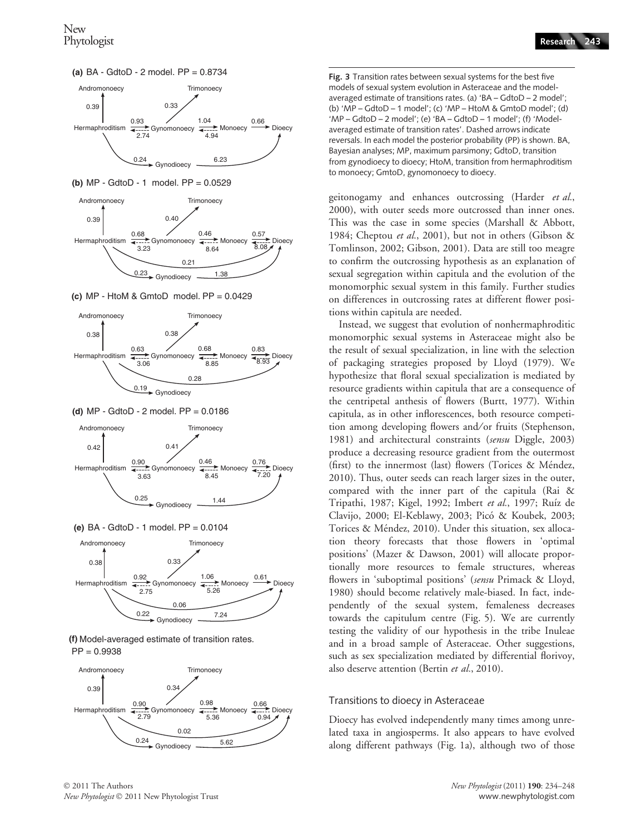



**(b)** MP - GdtoD - 1 model. PP = 0.0529



**(c)** MP - HtoM & GmtoD model. PP = 0.0429



**(d)** MP - GdtoD - 2 model. PP = 0.0186



**(e)** BA - GdtoD - 1 model. PP = 0.0104





© 2011 The Authors



Fig. 3 Transition rates between sexual systems for the best five models of sexual system evolution in Asteraceae and the modelaveraged estimate of transitions rates. (a) 'BA – GdtoD – 2 model'; (b) 'MP – GdtoD – 1 model'; (c) 'MP – HtoM & GmtoD model'; (d) 'MP – GdtoD – 2 model'; (e) 'BA – GdtoD – 1 model'; (f) 'Modelaveraged estimate of transition rates'. Dashed arrows indicate reversals. In each model the posterior probability (PP) is shown. BA, Bayesian analyses; MP, maximum parsimony; GdtoD, transition from gynodioecy to dioecy; HtoM, transition from hermaphroditism to monoecy; GmtoD, gynomonoecy to dioecy.

geitonogamy and enhances outcrossing (Harder et al., 2000), with outer seeds more outcrossed than inner ones. This was the case in some species (Marshall & Abbott, 1984; Cheptou et al., 2001), but not in others (Gibson & Tomlinson, 2002; Gibson, 2001). Data are still too meagre to confirm the outcrossing hypothesis as an explanation of sexual segregation within capitula and the evolution of the monomorphic sexual system in this family. Further studies on differences in outcrossing rates at different flower positions within capitula are needed.

Instead, we suggest that evolution of nonhermaphroditic monomorphic sexual systems in Asteraceae might also be the result of sexual specialization, in line with the selection of packaging strategies proposed by Lloyd (1979). We hypothesize that floral sexual specialization is mediated by resource gradients within capitula that are a consequence of the centripetal anthesis of flowers (Burtt, 1977). Within capitula, as in other inflorescences, both resource competition among developing flowers and/or fruits (Stephenson, 1981) and architectural constraints (sensu Diggle, 2003) produce a decreasing resource gradient from the outermost (first) to the innermost (last) flowers (Torices & Méndez, 2010). Thus, outer seeds can reach larger sizes in the outer, compared with the inner part of the capitula (Rai & Tripathi, 1987; Kigel, 1992; Imbert et al., 1997; Ruíz de Clavijo, 2000; El-Keblawy, 2003; Pico´ & Koubek, 2003; Torices & Méndez, 2010). Under this situation, sex allocation theory forecasts that those flowers in 'optimal positions' (Mazer & Dawson, 2001) will allocate proportionally more resources to female structures, whereas flowers in 'suboptimal positions' (sensu Primack & Lloyd, 1980) should become relatively male-biased. In fact, independently of the sexual system, femaleness decreases towards the capitulum centre (Fig. 5). We are currently testing the validity of our hypothesis in the tribe Inuleae and in a broad sample of Asteraceae. Other suggestions, such as sex specialization mediated by differential florivoy, also deserve attention (Bertin et al., 2010).

#### Transitions to dioecy in Asteraceae

Dioecy has evolved independently many times among unrelated taxa in angiosperms. It also appears to have evolved along different pathways (Fig. 1a), although two of those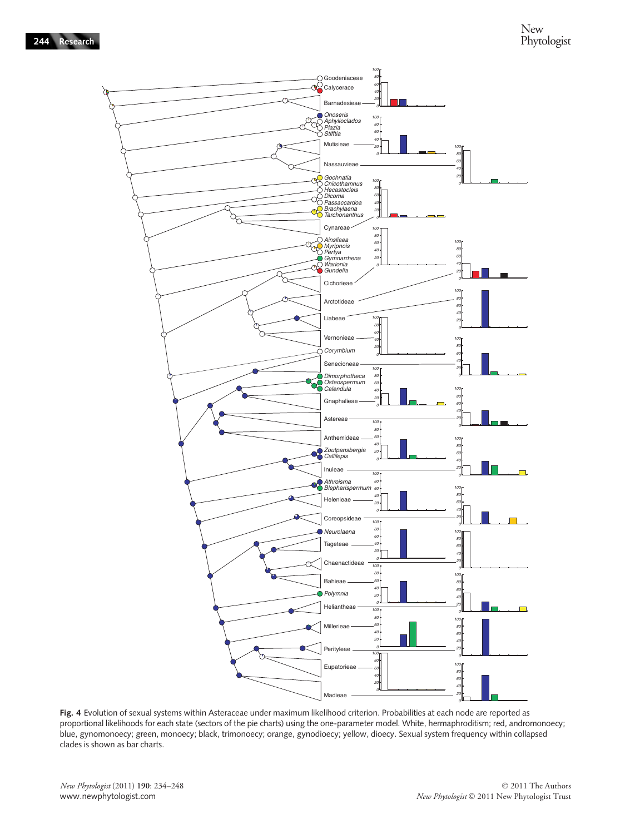

Fig. 4 Evolution of sexual systems within Asteraceae under maximum likelihood criterion. Probabilities at each node are reported as proportional likelihoods for each state (sectors of the pie charts) using the one-parameter model. White, hermaphroditism; red, andromonoecy; blue, gynomonoecy; green, monoecy; black, trimonoecy; orange, gynodioecy; yellow, dioecy. Sexual system frequency within collapsed clades is shown as bar charts.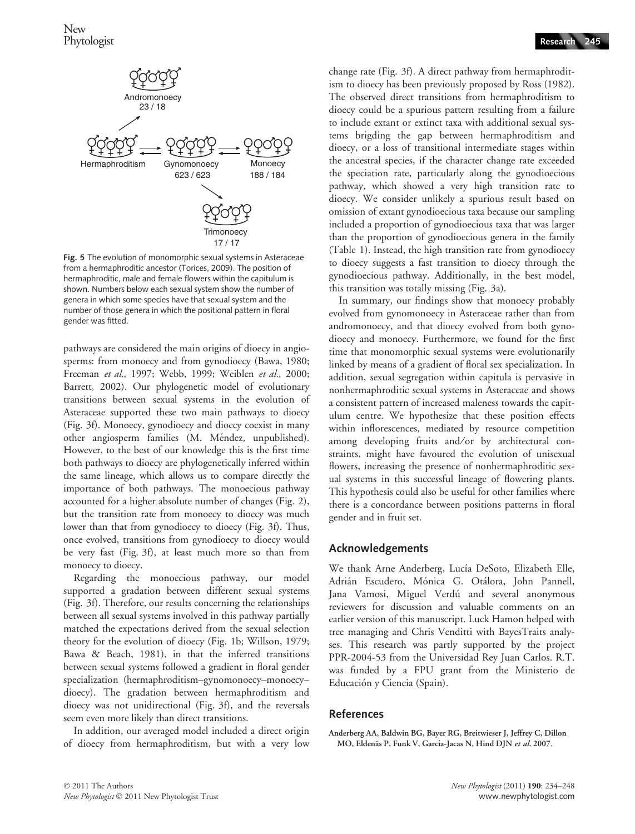

Fig. 5 The evolution of monomorphic sexual systems in Asteraceae from a hermaphroditic ancestor (Torices, 2009). The position of hermaphroditic, male and female flowers within the capitulum is shown. Numbers below each sexual system show the number of genera in which some species have that sexual system and the number of those genera in which the positional pattern in floral gender was fitted.

pathways are considered the main origins of dioecy in angiosperms: from monoecy and from gynodioecy (Bawa, 1980; Freeman et al., 1997; Webb, 1999; Weiblen et al., 2000; Barrett, 2002). Our phylogenetic model of evolutionary transitions between sexual systems in the evolution of Asteraceae supported these two main pathways to dioecy (Fig. 3f). Monoecy, gynodioecy and dioecy coexist in many other angiosperm families (M. Méndez, unpublished). However, to the best of our knowledge this is the first time both pathways to dioecy are phylogenetically inferred within the same lineage, which allows us to compare directly the importance of both pathways. The monoecious pathway accounted for a higher absolute number of changes (Fig. 2), but the transition rate from monoecy to dioecy was much lower than that from gynodioecy to dioecy (Fig. 3f). Thus, once evolved, transitions from gynodioecy to dioecy would be very fast (Fig. 3f), at least much more so than from monoecy to dioecy.

Regarding the monoecious pathway, our model supported a gradation between different sexual systems (Fig. 3f). Therefore, our results concerning the relationships between all sexual systems involved in this pathway partially matched the expectations derived from the sexual selection theory for the evolution of dioecy (Fig. 1b; Willson, 1979; Bawa & Beach, 1981), in that the inferred transitions between sexual systems followed a gradient in floral gender specialization (hermaphroditism–gynomonoecy–monoecy– dioecy). The gradation between hermaphroditism and dioecy was not unidirectional (Fig. 3f), and the reversals seem even more likely than direct transitions.

In addition, our averaged model included a direct origin of dioecy from hermaphroditism, but with a very low change rate (Fig. 3f). A direct pathway from hermaphroditism to dioecy has been previously proposed by Ross (1982). The observed direct transitions from hermaphroditism to dioecy could be a spurious pattern resulting from a failure to include extant or extinct taxa with additional sexual systems brigding the gap between hermaphroditism and dioecy, or a loss of transitional intermediate stages within the ancestral species, if the character change rate exceeded the speciation rate, particularly along the gynodioecious pathway, which showed a very high transition rate to dioecy. We consider unlikely a spurious result based on omission of extant gynodioecious taxa because our sampling included a proportion of gynodioecious taxa that was larger than the proportion of gynodioecious genera in the family (Table 1). Instead, the high transition rate from gynodioecy to dioecy suggests a fast transition to dioecy through the gynodioecious pathway. Additionally, in the best model, this transition was totally missing (Fig. 3a).

In summary, our findings show that monoecy probably evolved from gynomonoecy in Asteraceae rather than from andromonoecy, and that dioecy evolved from both gynodioecy and monoecy. Furthermore, we found for the first time that monomorphic sexual systems were evolutionarily linked by means of a gradient of floral sex specialization. In addition, sexual segregation within capitula is pervasive in nonhermaphroditic sexual systems in Asteraceae and shows a consistent pattern of increased maleness towards the capitulum centre. We hypothesize that these position effects within inflorescences, mediated by resource competition among developing fruits and/or by architectural constraints, might have favoured the evolution of unisexual flowers, increasing the presence of nonhermaphroditic sexual systems in this successful lineage of flowering plants. This hypothesis could also be useful for other families where there is a concordance between positions patterns in floral gender and in fruit set.

## Acknowledgements

We thank Arne Anderberg, Lucía DeSoto, Elizabeth Elle, Adrián Escudero, Mónica G. Otálora, John Pannell, Jana Vamosi, Miguel Verdú and several anonymous reviewers for discussion and valuable comments on an earlier version of this manuscript. Luck Hamon helped with tree managing and Chris Venditti with BayesTraits analyses. This research was partly supported by the project PPR-2004-53 from the Universidad Rey Juan Carlos. R.T. was funded by a FPU grant from the Ministerio de Educación y Ciencia (Spain).

#### References

Anderberg AA, Baldwin BG, Bayer RG, Breitwieser J, Jeffrey C, Dillon MO, Eldenäs P, Funk V, García-Jacas N, Hind DJN et al. 2007.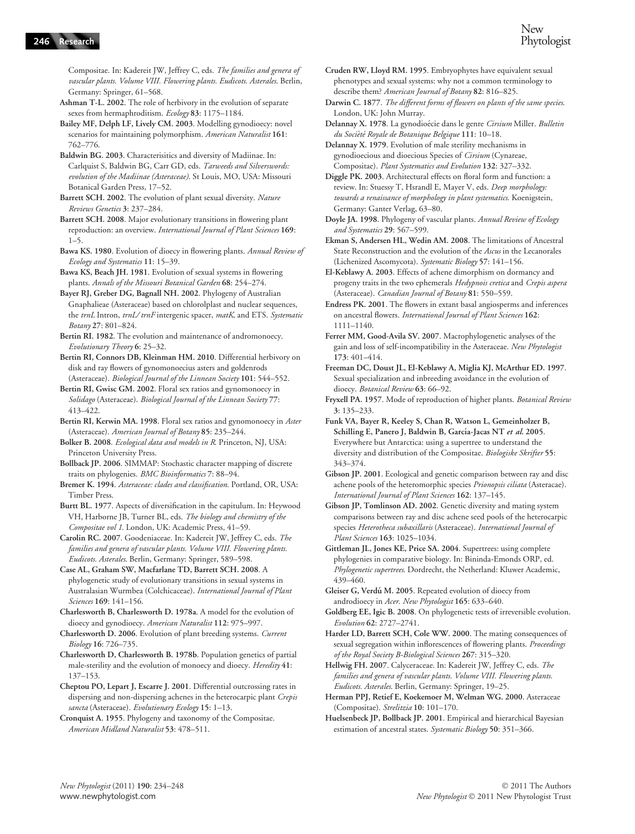Compositae. In: Kadereit JW, Jeffrey C, eds. The families and genera of vascular plants. Volume VIII. Flowering plants. Eudicots. Asterales. Berlin, Germany: Springer, 61–568.

Ashman T-L. 2002. The role of herbivory in the evolution of separate sexes from hermaphroditism. Ecology 83: 1175–1184.

Bailey MF, Delph LF, Lively CM. 2003. Modelling gynodioecy: novel scenarios for maintaining polymorphism. American Naturalist 161: 762–776.

Baldwin BG. 2003. Characterisitics and diversity of Madiinae. In: Carlquist S, Baldwin BG, Carr GD, eds. Tarweeds and Silverswords: evolution of the Madiinae (Asteraceae). St Louis, MO, USA: Missouri Botanical Garden Press, 17–52.

Barrett SCH. 2002. The evolution of plant sexual diversity. Nature Reviews Genetics 3: 237–284.

Barrett SCH. 2008. Major evolutionary transitions in flowering plant reproduction: an overview. International Journal of Plant Sciences 169:  $1 - 5$ .

Bawa KS. 1980. Evolution of dioecy in flowering plants. Annual Review of Ecology and Systematics 11: 15–39.

Bawa KS, Beach JH. 1981. Evolution of sexual systems in flowering plants. Annals of the Missouri Botanical Garden 68: 254–274.

Bayer RJ, Greber DG, Bagnall NH. 2002. Phylogeny of Australian Gnaphalieae (Asteraceae) based on chlorolplast and nuclear sequences, the trnL Intron, trnL/trnF intergenic spacer, matK, and ETS. Systematic Botany 27: 801–824.

Bertin RI. 1982. The evolution and maintenance of andromonoecy. Evolutionary Theory 6: 25–32.

Bertin RI, Connors DB, Kleinman HM. 2010. Differential herbivory on disk and ray flowers of gynomonoecius asters and goldenrods (Asteraceae). Biological Journal of the Linnean Society 101: 544–552.

Bertin RI, Gwisc GM. 2002. Floral sex ratios and gynomonoecy in Solidago (Asteraceae). Biological Journal of the Linnean Society 77: 413–422.

Bertin RI, Kerwin MA. 1998. Floral sex ratios and gynomonoecy in Aster (Asteraceae). American Journal of Botany 85: 235–244.

Bolker B. 2008. Ecological data and models in R. Princeton, NJ, USA: Princeton University Press.

Bollback JP. 2006. SIMMAP: Stochastic character mapping of discrete traits on phylogenies. BMC Bioinformatics 7: 88–94.

Bremer K. 1994. Asteraceae: clades and classification. Portland, OR, USA: Timber Press.

Burtt BL. 1977. Aspects of diversification in the capitulum. In: Heywood VH, Harborne JB, Turner BL, eds. The biology and chemistry of the Compositae vol 1. London, UK: Academic Press, 41–59.

Carolin RC. 2007. Goodeniaceae. In: Kadereit JW, Jeffrey C, eds. The families and genera of vascular plants. Volume VIII. Flowering plants. Eudicots. Asterales. Berlin, Germany: Springer, 589–598.

Case AL, Graham SW, Macfarlane TD, Barrett SCH. 2008. A phylogenetic study of evolutionary transitions in sexual systems in Australasian Wurmbea (Colchicaceae). International Journal of Plant Sciences 169: 141–156.

Charlesworth B, Charlesworth D. 1978a. A model for the evolution of dioecy and gynodioecy. American Naturalist 112: 975–997.

Charlesworth D. 2006. Evolution of plant breeding systems. Current Biology 16: 726–735.

Charlesworth D, Charlesworth B. 1978b. Population genetics of partial male-sterility and the evolution of monoecy and dioecy. Heredity 41: 137–153.

Cheptou PO, Lepart J, Escarre J. 2001. Differential outcrossing rates in dispersing and non-dispersing achenes in the heterocarpic plant Crepis sancta (Asteraceae). Evolutionary Ecology 15: 1-13.

Cronquist A. 1955. Phylogeny and taxonomy of the Compositae. American Midland Naturalist 53: 478–511.

Cruden RW, Lloyd RM. 1995. Embryophytes have equivalent sexual phenotypes and sexual systems: why not a common terminology to describe them? American Journal of Botany 82: 816–825.

Darwin C. 1877. The different forms of flowers on plants of the same species. London, UK: John Murray.

Delannay X. 1978. La gynodioécie dans le genre Cirsium Miller. Bulletin du Socièté Royale de Botanique Belgique 111: 10-18.

Delannay X. 1979. Evolution of male sterility mechanisms in gynodioecious and dioecious Species of Cirsium (Cynareae, Compositae). Plant Systematics and Evolution 132: 327–332.

Diggle PK. 2003. Architectural effects on floral form and function: a review. In: Stuessy T, Hsrandl E, Mayer V, eds. Deep morphology: towards a renaissance of morphology in plant systematics. Koenigstein, Germany: Ganter Verlag, 63–80.

Doyle JA. 1998. Phylogeny of vascular plants. Annual Review of Ecology and Systematics 29: 567–599.

Ekman S, Andersen HL, Wedin AM. 2008. The limitations of Ancestral State Reconstruction and the evolution of the Ascus in the Lecanorales (Lichenized Ascomycota). Systematic Biology 57: 141–156.

El-Keblawy A. 2003. Effects of achene dimorphism on dormancy and progeny traits in the two ephemerals Hedypnois cretica and Crepis aspera (Asteraceae). Canadian Journal of Botany 81: 550-559.

Endress PK. 2001. The flowers in extant basal angiosperms and inferences on ancestral flowers. International Journal of Plant Sciences 162: 1111–1140.

Ferrer MM, Good-Avila SV. 2007. Macrophylogenetic analyses of the gain and loss of self-incompatibility in the Asteraceae. New Phytologist 173: 401–414.

Freeman DC, Doust JL, El-Keblawy A, Miglia KJ, McArthur ED. 1997. Sexual specialization and inbreeding avoidance in the evolution of dioecy. Botanical Review 63: 66–92.

Fryxell PA. 1957. Mode of reproduction of higher plants. Botanical Review 3: 135–233.

Funk VA, Bayer R, Keeley S, Chan R, Watson L, Gemeinholzer B, Schilling E, Panero J, Baldwin B, García-Jacas NT et al. 2005. Everywhere but Antarctica: using a supertree to understand the diversity and distribution of the Compositae. Biologiske Skrifter 55: 343–374.

Gibson JP. 2001. Ecological and genetic comparison between ray and disc achene pools of the heteromorphic species Prionopsis ciliata (Asteracae). International Journal of Plant Sciences 162: 137–145.

Gibson JP, Tomlinson AD. 2002. Genetic diversity and mating system comparisons between ray and disc achene seed pools of the heterocarpic species Heterotheca subaxillaris (Asteraceae). International Journal of Plant Sciences 163: 1025–1034.

Gittleman JL, Jones KE, Price SA. 2004. Supertrees: using complete phylogenies in comparative biology. In: Bininda-Emonds ORP, ed. Phylogenetic supertrees. Dordrecht, the Netherland: Kluwer Academic, 439–460.

Gleiser G, Verdú M. 2005. Repeated evolution of dioecy from androdioecy in Acer. New Phytologist 165: 633–640.

Goldberg EE, Igic B. 2008. On phylogenetic tests of irreversible evolution. Evolution 62: 2727–2741.

Harder LD, Barrett SCH, Cole WW. 2000. The mating consequences of sexual segregation within inflorescences of flowering plants. Proceedings of the Royal Society B-Biological Sciences 267: 315–320.

Hellwig FH. 2007. Calyceraceae. In: Kadereit JW, Jeffrey C, eds. The families and genera of vascular plants. Volume VIII. Flowering plants. Eudicots. Asterales. Berlin, Germany: Springer, 19–25.

Herman PPJ, Retief E, Koekemoer M, Welman WG. 2000. Asteraceae (Compositae). Strelitzia 10: 101–170.

Huelsenbeck JP, Bollback JP. 2001. Empirical and hierarchical Bayesian estimation of ancestral states. Systematic Biology 50: 351-366.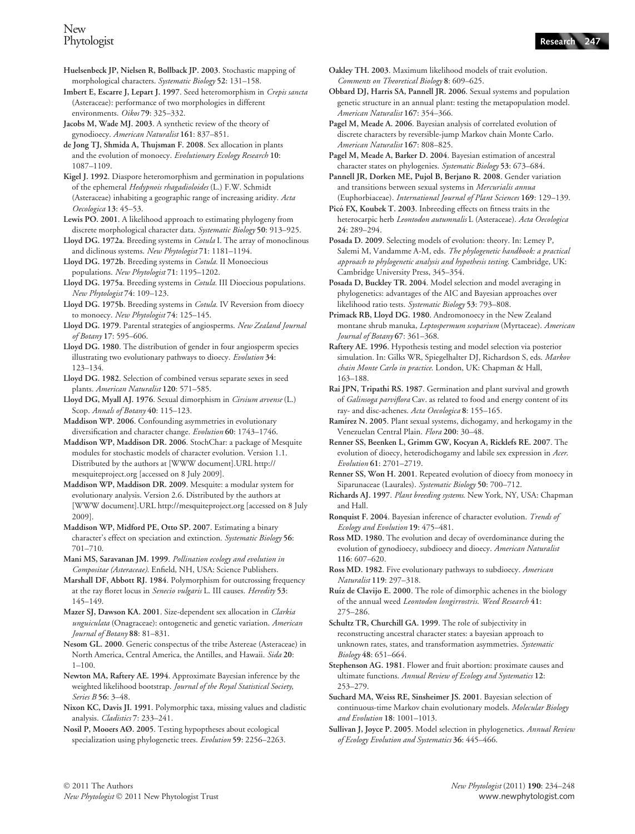Huelsenbeck JP, Nielsen R, Bollback JP. 2003. Stochastic mapping of morphological characters. Systematic Biology 52: 131–158.

Imbert E, Escarre J, Lepart J. 1997. Seed heteromorphism in Crepis sancta (Asteraceae): performance of two morphologies in different environments. Oikos 79: 325–332.

Jacobs M, Wade MJ. 2003. A synthetic review of the theory of gynodioecy. American Naturalist 161: 837–851.

de Jong TJ, Shmida A, Thujsman F. 2008. Sex allocation in plants and the evolution of monoecy. Evolutionary Ecology Research 10: 1087–1109.

Kigel J. 1992. Diaspore heteromorphism and germination in populations of the ephemeral Hedypnois rhagadioloides (L.) F.W. Schmidt (Asteraceae) inhabiting a geographic range of increasing aridity. Acta Oecologica 13: 45–53.

Lewis PO. 2001. A likelihood approach to estimating phylogeny from discrete morphological character data. Systematic Biology 50: 913–925.

Lloyd DG. 1972a. Breeding systems in Cotula I. The array of monoclinous and diclinous systems. New Phytologist 71: 1181–1194.

Lloyd DG. 1972b. Breeding systems in Cotula. II Monoecious populations. New Phytologist 71: 1195–1202.

Lloyd DG. 1975a. Breeding systems in Cotula. III Dioecious populations. New Phytologist 74: 109–123.

Lloyd DG. 1975b. Breeding systems in Cotula. IV Reversion from dioecy to monoecy. New Phytologist 74: 125–145.

Lloyd DG. 1979. Parental strategies of angiosperms. New Zealand Journal of Botany 17: 595–606.

Lloyd DG. 1980. The distribution of gender in four angiosperm species illustrating two evolutionary pathways to dioecy. Evolution 34: 123–134.

Lloyd DG. 1982. Selection of combined versus separate sexes in seed plants. American Naturalist 120: 571–585.

Lloyd DG, Myall AJ. 1976. Sexual dimorphism in Cirsium arvense (L.) Scop. Annals of Botany 40: 115-123.

Maddison WP. 2006. Confounding asymmetries in evolutionary diversification and character change. Evolution 60: 1743–1746.

Maddison WP, Maddison DR. 2006. StochChar: a package of Mesquite modules for stochastic models of character evolution. Version 1.1. Distributed by the authors at [WWW document].URL http:// mesquiteproject.org [accessed on 8 July 2009].

Maddison WP, Maddison DR. 2009. Mesquite: a modular system for evolutionary analysis. Version 2.6. Distributed by the authors at [WWW document].URL http://mesquiteproject.org [accessed on 8 July 2009].

Maddison WP, Midford PE, Otto SP. 2007. Estimating a binary character's effect on speciation and extinction. Systematic Biology 56: 701–710.

Mani MS, Saravanan JM. 1999. Pollination ecology and evolution in Compositae (Asteraceae). Enfield, NH, USA: Science Publishers.

Marshall DF, Abbott RJ. 1984. Polymorphism for outcrossing frequency at the ray floret locus in Senecio vulgaris L. III causes. Heredity 53: 145–149.

Mazer SJ, Dawson KA. 2001. Size-dependent sex allocation in Clarkia unguiculata (Onagraceae): ontogenetic and genetic variation. American Journal of Botany 88: 81–831.

Nesom GL. 2000. Generic conspectus of the tribe Astereae (Asteraceae) in North America, Central America, the Antilles, and Hawaii. Sida 20:  $1 - 100$ .

Newton MA, Raftery AE. 1994. Approximate Bayesian inference by the weighted likelihood bootstrap. Journal of the Royal Statistical Society, Series B 56: 3–48.

Nixon KC, Davis JI. 1991. Polymorphic taxa, missing values and cladistic analysis. Cladistics 7: 233–241.

Nosil P, Mooers AØ. 2005. Testing hypoptheses about ecological specialization using phylogenetic trees. Evolution 59: 2256–2263. Oakley TH. 2003. Maximum likelihood models of trait evolution. Comments on Theoretical Biology 8: 609–625.

Obbard DJ, Harris SA, Pannell JR. 2006. Sexual systems and population genetic structure in an annual plant: testing the metapopulation model. American Naturalist 167: 354–366.

Pagel M, Meade A. 2006. Bayesian analysis of correlated evolution of discrete characters by reversible-jump Markov chain Monte Carlo. American Naturalist 167: 808–825.

Pagel M, Meade A, Barker D. 2004. Bayesian estimation of ancestral character states on phylogenies. Systematic Biology 53: 673–684.

Pannell JR, Dorken ME, Pujol B, Berjano R. 2008. Gender variation and transitions between sexual systems in Mercurialis annua (Euphorbiaceae). International Journal of Plant Sciences 169: 129–139.

Picó FX, Koubek T. 2003. Inbreeding effects on fitness traits in the heterocarpic herb Leontodon autumnalis L (Asteraceae). Acta Oecologica 24: 289–294.

Posada D. 2009. Selecting models of evolution: theory. In: Lemey P, Salemi M, Vandamme A-M, eds. The phylogenetic handbook: a practical approach to phylogenetic analysis and hypothesis testing. Cambridge, UK: Cambridge University Press, 345–354.

Posada D, Buckley TR. 2004. Model selection and model averaging in phylogenetics: advantages of the AIC and Bayesian approaches over likelihood ratio tests. Systematic Biology 53: 793–808.

Primack RB, Lloyd DG. 1980. Andromonoecy in the New Zealand montane shrub manuka, Leptospermum scoparium (Myrtaceae). American Journal of Botany 67: 361–368.

Raftery AE. 1996. Hypothesis testing and model selection via posterior simulation. In: Gilks WR, Spiegelhalter DJ, Richardson S, eds. Markov chain Monte Carlo in practice. London, UK: Chapman & Hall, 163–188.

Rai JPN, Tripathi RS. 1987. Germination and plant survival and growth of Galinsoga parviflora Cav. as related to food and energy content of its ray- and disc-achenes. Acta Oecologica 8: 155–165.

Ramírez N. 2005. Plant sexual systems, dichogamy, and herkogamy in the Venezuelan Central Plain. Flora 200: 30–48.

Renner SS, Beenken L, Grimm GW, Kocyan A, Ricklefs RE. 2007. The evolution of dioecy, heterodichogamy and labile sex expression in Acer. Evolution 61: 2701–2719.

Renner SS, Won H. 2001. Repeated evolution of dioecy from monoecy in Siparunaceae (Laurales). Systematic Biology 50: 700-712.

Richards AJ. 1997. Plant breeding systems. New York, NY, USA: Chapman and Hall.

Ronquist F. 2004. Bayesian inference of character evolution. Trends of Ecology and Evolution 19: 475–481.

Ross MD. 1980. The evolution and decay of overdominance during the evolution of gynodioecy, subdioecy and dioecy. American Naturalist 116: 607–620.

Ross MD. 1982. Five evolutionary pathways to subdioecy. American Naturalist 119: 297–318.

Ruíz de Clavijo E. 2000. The role of dimorphic achenes in the biology of the annual weed Leontodon longirrostris. Weed Research 41: 275–286.

Schultz TR, Churchill GA. 1999. The role of subjectivity in reconstructing ancestral character states: a bayesian approach to unknown rates, states, and transformation asymmetries. Systematic Biology 48: 651–664.

Stephenson AG. 1981. Flower and fruit abortion: proximate causes and ultimate functions. Annual Review of Ecology and Systematics 12: 253–279.

Suchard MA, Weiss RE, Sinsheimer JS. 2001. Bayesian selection of continuous-time Markov chain evolutionary models. Molecular Biology and Evolution 18: 1001–1013.

Sullivan J, Joyce P. 2005. Model selection in phylogenetics. Annual Review of Ecology Evolution and Systematics 36: 445–466.